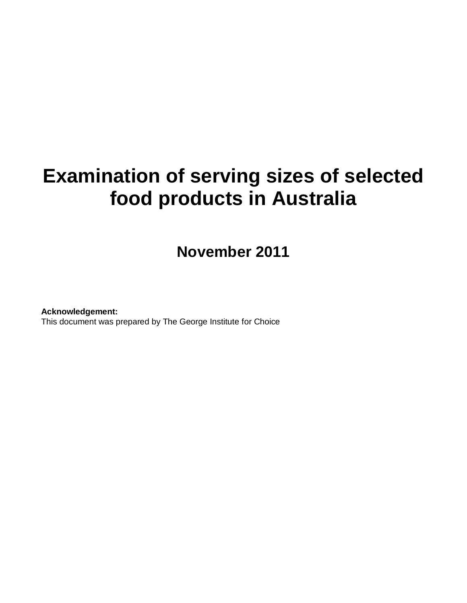# **Examination of serving sizes of selected food products in Australia**

**November 2011**

**Acknowledgement:**  This document was prepared by The George Institute for Choice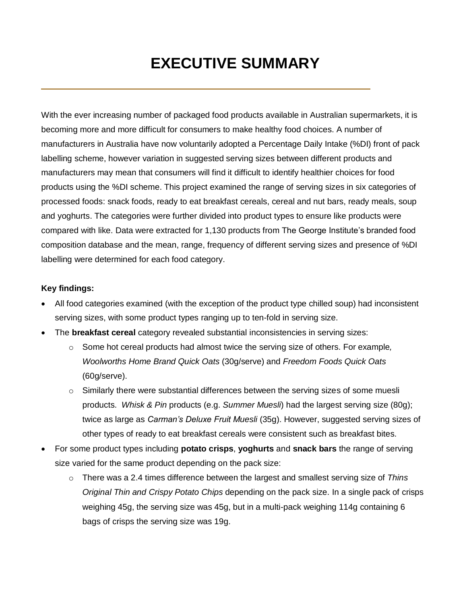# **EXECUTIVE SUMMARY**

With the ever increasing number of packaged food products available in Australian supermarkets, it is becoming more and more difficult for consumers to make healthy food choices. A number of manufacturers in Australia have now voluntarily adopted a Percentage Daily Intake (%DI) front of pack labelling scheme, however variation in suggested serving sizes between different products and manufacturers may mean that consumers will find it difficult to identify healthier choices for food products using the %DI scheme. This project examined the range of serving sizes in six categories of processed foods: snack foods, ready to eat breakfast cereals, cereal and nut bars, ready meals, soup and yoghurts. The categories were further divided into product types to ensure like products were compared with like. Data were extracted for 1,130 products from The George Institute's branded food composition database and the mean, range, frequency of different serving sizes and presence of %DI labelling were determined for each food category.

## **Key findings:**

- All food categories examined (with the exception of the product type chilled soup) had inconsistent serving sizes, with some product types ranging up to ten-fold in serving size.
- The **breakfast cereal** category revealed substantial inconsistencies in serving sizes:
	- o Some hot cereal products had almost twice the serving size of others. For example*, Woolworths Home Brand Quick Oats* (30g/serve) and *Freedom Foods Quick Oats* (60g/serve).
	- $\circ$  Similarly there were substantial differences between the serving sizes of some muesli products. *Whisk & Pin* products (e.g. *Summer Muesli*) had the largest serving size (80g); twice as large as *Carman's Deluxe Fruit Muesli* (35g). However, suggested serving sizes of other types of ready to eat breakfast cereals were consistent such as breakfast bites.
- For some product types including **potato crisps**, **yoghurts** and **snack bars** the range of serving size varied for the same product depending on the pack size:
	- o There was a 2.4 times difference between the largest and smallest serving size of *Thins Original Thin and Crispy Potato Chips* depending on the pack size. In a single pack of crisps weighing 45g, the serving size was 45g, but in a multi-pack weighing 114g containing 6 bags of crisps the serving size was 19g.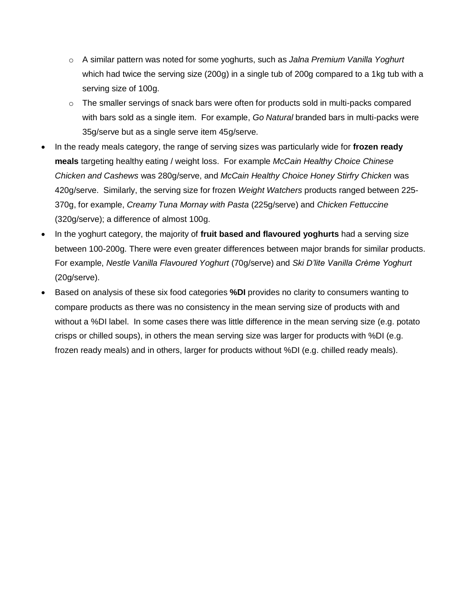- o A similar pattern was noted for some yoghurts, such as *Jalna Premium Vanilla Yoghurt* which had twice the serving size (200g) in a single tub of 200g compared to a 1kg tub with a serving size of 100g.
- $\circ$  The smaller servings of snack bars were often for products sold in multi-packs compared with bars sold as a single item. For example, *Go Natural* branded bars in multi-packs were 35g/serve but as a single serve item 45g/serve.
- In the ready meals category, the range of serving sizes was particularly wide for **frozen ready meals** targeting healthy eating / weight loss. For example *McCain Healthy Choice Chinese Chicken and Cashews* was 280g/serve, and *McCain Healthy Choice Honey Stirfry Chicken* was 420g/serve. Similarly, the serving size for frozen *Weight Watchers* products ranged between 225- 370g, for example, *Creamy Tuna Mornay with Pasta* (225g/serve) and *Chicken Fettuccine* (320g/serve); a difference of almost 100g.
- In the yoghurt category, the majority of **fruit based and flavoured yoghurts** had a serving size between 100-200g. There were even greater differences between major brands for similar products. For example, *Nestle Vanilla Flavoured Yoghurt* (70g/serve) and *Ski D'lite Vanilla Crème Yoghurt*  (20g/serve).
- Based on analysis of these six food categories **%DI** provides no clarity to consumers wanting to compare products as there was no consistency in the mean serving size of products with and without a %DI label. In some cases there was little difference in the mean serving size (e.g. potato crisps or chilled soups), in others the mean serving size was larger for products with %DI (e.g. frozen ready meals) and in others, larger for products without %DI (e.g. chilled ready meals).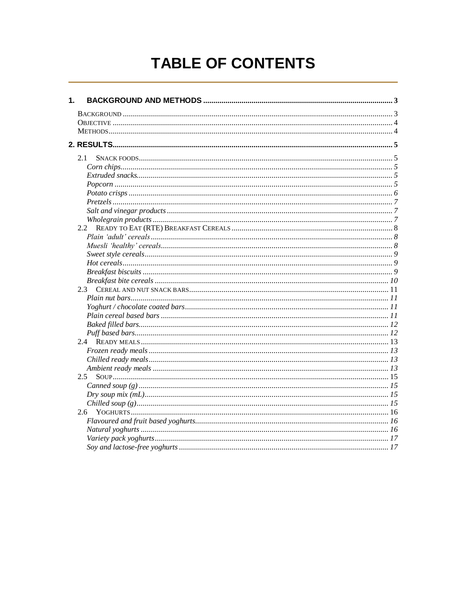# TABLE OF CONTENTS

| 1. |     |  |
|----|-----|--|
|    |     |  |
|    |     |  |
|    |     |  |
|    |     |  |
|    | 2.1 |  |
|    |     |  |
|    |     |  |
|    |     |  |
|    |     |  |
|    |     |  |
|    |     |  |
|    |     |  |
|    |     |  |
|    |     |  |
|    |     |  |
|    |     |  |
|    |     |  |
|    |     |  |
|    |     |  |
|    |     |  |
|    |     |  |
|    |     |  |
|    |     |  |
|    |     |  |
|    |     |  |
|    |     |  |
|    |     |  |
|    |     |  |
|    |     |  |
|    | 2.5 |  |
|    |     |  |
|    |     |  |
|    |     |  |
|    | 2.6 |  |
|    |     |  |
|    |     |  |
|    |     |  |
|    |     |  |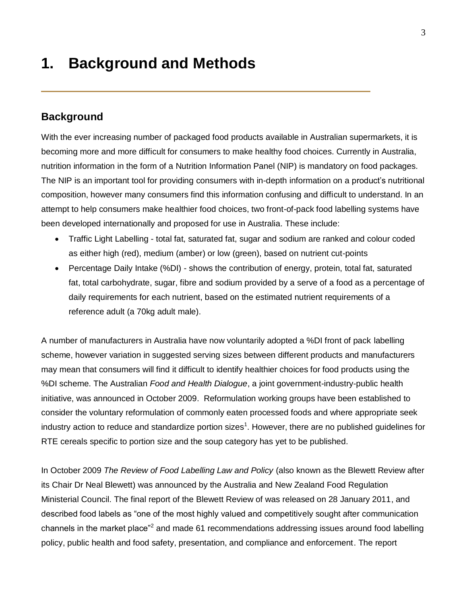# <span id="page-4-0"></span>**1. Background and Methods**

## <span id="page-4-1"></span>**Background**

With the ever increasing number of packaged food products available in Australian supermarkets, it is becoming more and more difficult for consumers to make healthy food choices. Currently in Australia, nutrition information in the form of a Nutrition Information Panel (NIP) is mandatory on food packages. The NIP is an important tool for providing consumers with in-depth information on a product's nutritional composition, however many consumers find this information confusing and difficult to understand. In an attempt to help consumers make healthier food choices, two front-of-pack food labelling systems have been developed internationally and proposed for use in Australia. These include:

- Traffic Light Labelling total fat, saturated fat, sugar and sodium are ranked and colour coded as either high (red), medium (amber) or low (green), based on nutrient cut-points
- Percentage Daily Intake (%DI) shows the contribution of energy, protein, total fat, saturated fat, total carbohydrate, sugar, fibre and sodium provided by a serve of a food as a percentage of daily requirements for each nutrient, based on the estimated nutrient requirements of a reference adult (a 70kg adult male).

A number of manufacturers in Australia have now voluntarily adopted a %DI front of pack labelling scheme, however variation in suggested serving sizes between different products and manufacturers may mean that consumers will find it difficult to identify healthier choices for food products using the %DI scheme. The Australian *Food and Health Dialogue*, a joint government-industry-public health initiative, was announced in October 2009. Reformulation working groups have been established to consider the voluntary reformulation of commonly eaten processed foods and where appropriate seek industry action to reduce and standardize portion sizes<sup>1</sup>. However, there are no published guidelines for RTE cereals specific to portion size and the soup category has yet to be published.

In October 2009 *The Review of Food Labelling Law and Policy* (also known as the Blewett Review after its Chair Dr Neal Blewett) was announced by the Australia and New Zealand Food Regulation Ministerial Council. The final report of the Blewett Review of was released on 28 January 2011, and described food labels as "one of the most highly valued and competitively sought after communication channels in the market place"<sup>2</sup> and made 61 recommendations addressing issues around food labelling policy, public health and food safety, presentation, and compliance and enforcement. The report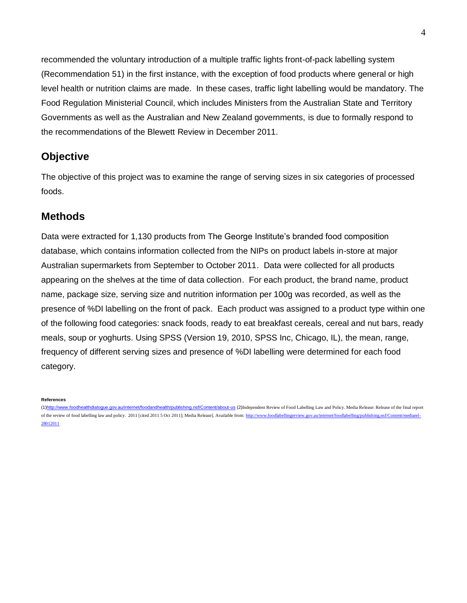recommended the voluntary introduction of a multiple traffic lights front-of-pack labelling system (Recommendation 51) in the first instance, with the exception of food products where general or high level health or nutrition claims are made. In these cases, traffic light labelling would be mandatory. The Food Regulation Ministerial Council, which includes Ministers from the Australian State and Territory Governments as well as the Australian and New Zealand governments, is due to formally respond to the recommendations of the Blewett Review in December 2011.

## <span id="page-5-0"></span>**Objective**

The objective of this project was to examine the range of serving sizes in six categories of processed foods.

## <span id="page-5-1"></span>**Methods**

Data were extracted for 1,130 products from The George Institute"s branded food composition database, which contains information collected from the NIPs on product labels in-store at major Australian supermarkets from September to October 2011. Data were collected for all products appearing on the shelves at the time of data collection. For each product, the brand name, product name, package size, serving size and nutrition information per 100g was recorded, as well as the presence of %DI labelling on the front of pack. Each product was assigned to a product type within one of the following food categories: snack foods, ready to eat breakfast cereals, cereal and nut bars, ready meals, soup or yoghurts. Using SPSS (Version 19, 2010, SPSS Inc, Chicago, IL), the mean, range, frequency of different serving sizes and presence of %DI labelling were determined for each food category.

**References**

<sup>(</sup>[1\)http://www.foodhealthdialogue.gov.au/internet/foodandhealth/publishing.nsf/Content/about-us](http://www.foodhealthdialogue.gov.au/internet/foodandhealth/publishing.nsf/Content/about-us) (2)Independent Review of Food Labelling Law and Policy. Media Release: Release of the final report of the review of food labelling law and policy. 2011 [cited 2011 5 Oct 2011]; Media Release]. Available from[: http://www.foodlabellingreview.gov.au/internet/foodlabelling/publishing.nsf/Content/mediarel-](http://www.foodlabellingreview.gov.au/internet/foodlabelling/publishing.nsf/Content/mediarel-28012011)[28012011](http://www.foodlabellingreview.gov.au/internet/foodlabelling/publishing.nsf/Content/mediarel-28012011)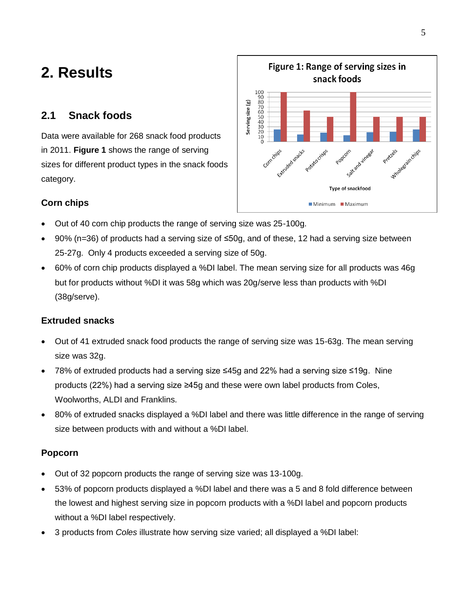# <span id="page-6-0"></span>**2. Results**

## <span id="page-6-1"></span>**2.1 Snack foods**

Data were available for 268 snack food products in 2011. **Figure 1** shows the range of serving sizes for different product types in the snack foods category.



## <span id="page-6-2"></span>**Corn chips**

- Out of 40 corn chip products the range of serving size was 25-100g.
- 90% (n=36) of products had a serving size of ≤50g, and of these, 12 had a serving size between 25-27g. Only 4 products exceeded a serving size of 50g.
- 60% of corn chip products displayed a %DI label. The mean serving size for all products was 46g but for products without %DI it was 58g which was 20g/serve less than products with %DI (38g/serve).

## <span id="page-6-3"></span>**Extruded snacks**

- Out of 41 extruded snack food products the range of serving size was 15-63g. The mean serving size was 32g.
- 78% of extruded products had a serving size ≤45g and 22% had a serving size ≤19g. Nine products (22%) had a serving size ≥45g and these were own label products from Coles, Woolworths, ALDI and Franklins.
- 80% of extruded snacks displayed a %DI label and there was little difference in the range of serving size between products with and without a %DI label.

## <span id="page-6-4"></span>**Popcorn**

- Out of 32 popcorn products the range of serving size was 13-100g.
- 53% of popcorn products displayed a %DI label and there was a 5 and 8 fold difference between the lowest and highest serving size in popcorn products with a %DI label and popcorn products without a %DI label respectively.
- 3 products from *Coles* illustrate how serving size varied; all displayed a %DI label: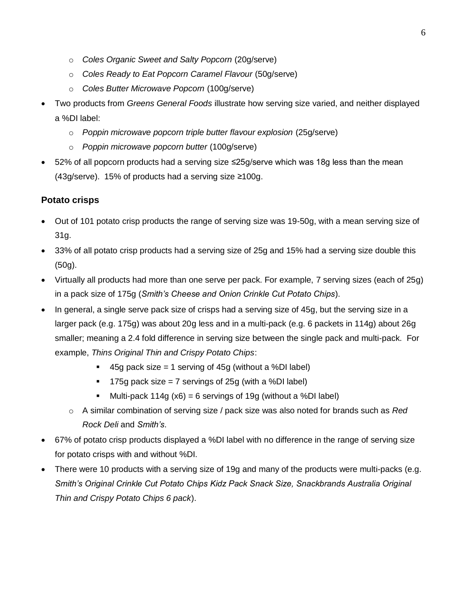- o *Coles Organic Sweet and Salty Popcorn* (20g/serve)
- o *Coles Ready to Eat Popcorn Caramel Flavour* (50g/serve)
- o *Coles Butter Microwave Popcorn* (100g/serve)
- Two products from *Greens General Foods* illustrate how serving size varied, and neither displayed a %DI label:
	- o *Poppin microwave popcorn triple butter flavour explosion* (25g/serve)
	- o *Poppin microwave popcorn butter* (100g/serve)
- 52% of all popcorn products had a serving size ≤25g/serve which was 18g less than the mean (43g/serve). 15% of products had a serving size ≥100g.

## <span id="page-7-0"></span>**Potato crisps**

- Out of 101 potato crisp products the range of serving size was 19-50g, with a mean serving size of 31g.
- 33% of all potato crisp products had a serving size of 25g and 15% had a serving size double this (50g).
- Virtually all products had more than one serve per pack. For example, 7 serving sizes (each of 25g) in a pack size of 175g (*Smith's Cheese and Onion Crinkle Cut Potato Chips*).
- In general, a single serve pack size of crisps had a serving size of 45g, but the serving size in a larger pack (e.g. 175g) was about 20g less and in a multi-pack (e.g. 6 packets in 114g) about 26g smaller; meaning a 2.4 fold difference in serving size between the single pack and multi-pack. For example, *Thins Original Thin and Crispy Potato Chips*:
	- $\blacksquare$  45g pack size = 1 serving of 45g (without a %DI label)
	- $\blacksquare$  175g pack size = 7 servings of 25g (with a %DI label)
	- Multi-pack 114g  $(x6) = 6$  servings of 19g (without a %DI label)
	- o A similar combination of serving size / pack size was also noted for brands such as *Red Rock Deli* and *Smith's*.
- 67% of potato crisp products displayed a %DI label with no difference in the range of serving size for potato crisps with and without %DI.
- <span id="page-7-1"></span> There were 10 products with a serving size of 19g and many of the products were multi-packs (e.g. *Smith's Original Crinkle Cut Potato Chips Kidz Pack Snack Size, Snackbrands Australia Original Thin and Crispy Potato Chips 6 pack*).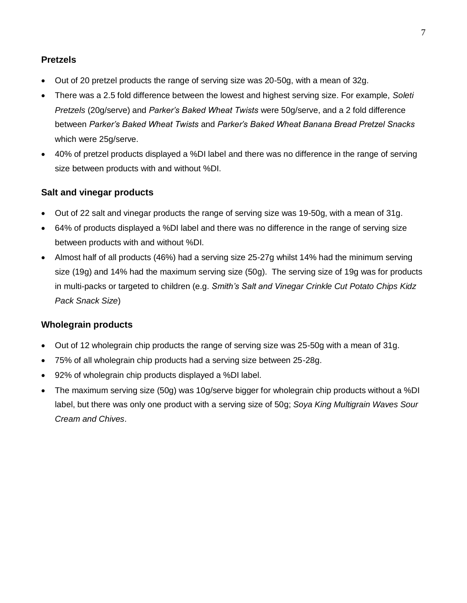## **Pretzels**

- Out of 20 pretzel products the range of serving size was 20-50g, with a mean of 32g.
- There was a 2.5 fold difference between the lowest and highest serving size. For example, *Soleti Pretzels* (20g/serve) and *Parker's Baked Wheat Twists* were 50g/serve, and a 2 fold difference between *Parker's Baked Wheat Twists* and *Parker's Baked Wheat Banana Bread Pretzel Snacks* which were 25g/serve.
- 40% of pretzel products displayed a %DI label and there was no difference in the range of serving size between products with and without %DI.

## <span id="page-8-0"></span>**Salt and vinegar products**

- Out of 22 salt and vinegar products the range of serving size was 19-50g, with a mean of 31g.
- 64% of products displayed a %DI label and there was no difference in the range of serving size between products with and without %DI.
- Almost half of all products (46%) had a serving size 25-27g whilst 14% had the minimum serving size (19g) and 14% had the maximum serving size (50g). The serving size of 19g was for products in multi-packs or targeted to children (e.g. *Smith's Salt and Vinegar Crinkle Cut Potato Chips Kidz Pack Snack Size*)

## <span id="page-8-1"></span>**Wholegrain products**

- Out of 12 wholegrain chip products the range of serving size was 25-50g with a mean of 31g.
- 75% of all wholegrain chip products had a serving size between 25-28g.
- 92% of wholegrain chip products displayed a %DI label.
- The maximum serving size (50g) was 10g/serve bigger for wholegrain chip products without a %DI label, but there was only one product with a serving size of 50g; *Soya King Multigrain Waves Sour Cream and Chives*.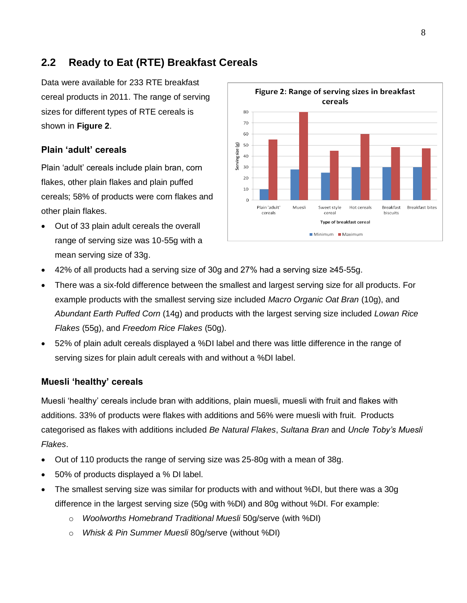# <span id="page-9-0"></span>**2.2 Ready to Eat (RTE) Breakfast Cereals**

Data were available for 233 RTE breakfast cereal products in 2011. The range of serving sizes for different types of RTE cereals is shown in **Figure 2**.

#### <span id="page-9-1"></span>**Plain 'adult' cereals**

Plain "adult" cereals include plain bran, corn flakes, other plain flakes and plain puffed cereals; 58% of products were corn flakes and other plain flakes.

 Out of 33 plain adult cereals the overall range of serving size was 10-55g with a mean serving size of 33g.



- 42% of all products had a serving size of 30g and 27% had a serving size ≥45-55g.
- There was a six-fold difference between the smallest and largest serving size for all products. For example products with the smallest serving size included *Macro Organic Oat Bran* (10g), and *Abundant Earth Puffed Corn* (14g) and products with the largest serving size included *Lowan Rice Flakes* (55g), and *Freedom Rice Flakes* (50g).
- 52% of plain adult cereals displayed a %DI label and there was little difference in the range of serving sizes for plain adult cereals with and without a %DI label.

#### <span id="page-9-2"></span>**Muesli 'healthy' cereals**

Muesli "healthy" cereals include bran with additions, plain muesli, muesli with fruit and flakes with additions. 33% of products were flakes with additions and 56% were muesli with fruit. Products categorised as flakes with additions included *Be Natural Flakes*, *Sultana Bran* and *Uncle Toby's Muesli Flakes*.

- Out of 110 products the range of serving size was 25-80g with a mean of 38g.
- 50% of products displayed a % DI label.
- The smallest serving size was similar for products with and without %DI, but there was a 30g difference in the largest serving size (50g with %DI) and 80g without %DI. For example:
	- o *Woolworths Homebrand Traditional Muesli* 50g/serve (with %DI)
	- o *Whisk & Pin Summer Muesli* 80g/serve (without %DI)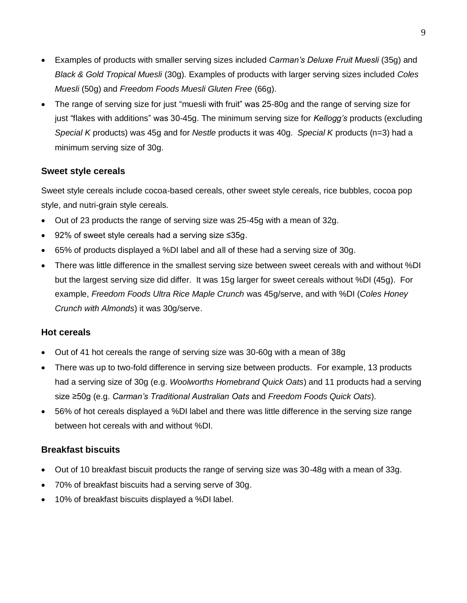- Examples of products with smaller serving sizes included *Carman's Deluxe Fruit Muesli* (35g) and *Black & Gold Tropical Muesli* (30g). Examples of products with larger serving sizes included *Coles Muesli* (50g) and *Freedom Foods Muesli Gluten Free* (66g).
- The range of serving size for just "muesli with fruit" was 25-80g and the range of serving size for just "flakes with additions" was 30-45g. The minimum serving size for *Kellogg's* products (excluding *Special K* products) was 45g and for *Nestle* products it was 40g. *Special K* products (n=3) had a minimum serving size of 30g.

## <span id="page-10-0"></span>**Sweet style cereals**

Sweet style cereals include cocoa-based cereals, other sweet style cereals, rice bubbles, cocoa pop style, and nutri-grain style cereals.

- Out of 23 products the range of serving size was 25-45g with a mean of 32g.
- 92% of sweet style cereals had a serving size ≤35g.
- 65% of products displayed a %DI label and all of these had a serving size of 30g.
- There was little difference in the smallest serving size between sweet cereals with and without %DI but the largest serving size did differ. It was 15g larger for sweet cereals without %DI (45g). For example, *Freedom Foods Ultra Rice Maple Crunch* was 45g/serve, and with %DI (*Coles Honey Crunch with Almonds*) it was 30g/serve.

## <span id="page-10-1"></span>**Hot cereals**

- Out of 41 hot cereals the range of serving size was 30-60g with a mean of 38g
- There was up to two-fold difference in serving size between products. For example, 13 products had a serving size of 30g (e.g. *Woolworths Homebrand Quick Oats*) and 11 products had a serving size ≥50g (e.g. *Carman's Traditional Australian Oats* and *Freedom Foods Quick Oats*).
- 56% of hot cereals displayed a %DI label and there was little difference in the serving size range between hot cereals with and without %DI.

## <span id="page-10-2"></span>**Breakfast biscuits**

- Out of 10 breakfast biscuit products the range of serving size was 30-48g with a mean of 33g.
- 70% of breakfast biscuits had a serving serve of 30g.
- 10% of breakfast biscuits displayed a %DI label.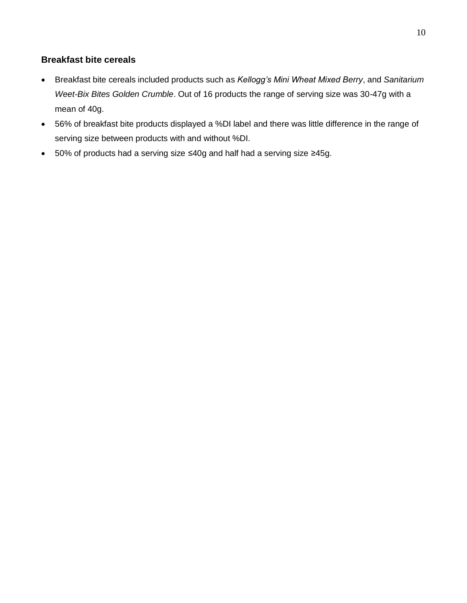## <span id="page-11-0"></span>**Breakfast bite cereals**

- Breakfast bite cereals included products such as *Kellogg's Mini Wheat Mixed Berry*, and *Sanitarium Weet-Bix Bites Golden Crumble*. Out of 16 products the range of serving size was 30-47g with a mean of 40g.
- 56% of breakfast bite products displayed a %DI label and there was little difference in the range of serving size between products with and without %DI.
- 50% of products had a serving size ≤40g and half had a serving size ≥45g.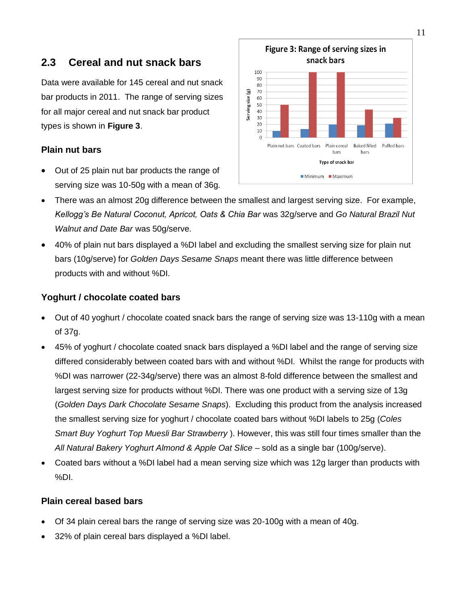## <span id="page-12-0"></span>**2.3 Cereal and nut snack bars**

Data were available for 145 cereal and nut snack bar products in 2011. The range of serving sizes for all major cereal and nut snack bar product types is shown in **Figure 3**.

#### <span id="page-12-1"></span>**Plain nut bars**

 Out of 25 plain nut bar products the range of serving size was 10-50g with a mean of 36g.



- There was an almost 20g difference between the smallest and largest serving size. For example, *Kellogg's Be Natural Coconut, Apricot, Oats & Chia Bar* was 32g/serve and *Go Natural Brazil Nut Walnut and Date Bar* was 50g/serve.
- 40% of plain nut bars displayed a %DI label and excluding the smallest serving size for plain nut bars (10g/serve) for *Golden Days Sesame Snaps* meant there was little difference between products with and without %DI.

#### <span id="page-12-2"></span>**Yoghurt / chocolate coated bars**

- Out of 40 yoghurt / chocolate coated snack bars the range of serving size was 13-110g with a mean of 37g.
- 45% of yoghurt / chocolate coated snack bars displayed a %DI label and the range of serving size differed considerably between coated bars with and without %DI. Whilst the range for products with %DI was narrower (22-34g/serve) there was an almost 8-fold difference between the smallest and largest serving size for products without %DI. There was one product with a serving size of 13g (*Golden Days Dark Chocolate Sesame Snaps*). Excluding this product from the analysis increased the smallest serving size for yoghurt / chocolate coated bars without %DI labels to 25g (*Coles Smart Buy Yoghurt Top Muesli Bar Strawberry* ). However, this was still four times smaller than the *All Natural Bakery Yoghurt Almond & Apple Oat Slice* – sold as a single bar (100g/serve).
- Coated bars without a %DI label had a mean serving size which was 12g larger than products with %DI.

#### <span id="page-12-3"></span>**Plain cereal based bars**

- Of 34 plain cereal bars the range of serving size was 20-100g with a mean of 40g.
- 32% of plain cereal bars displayed a %DI label.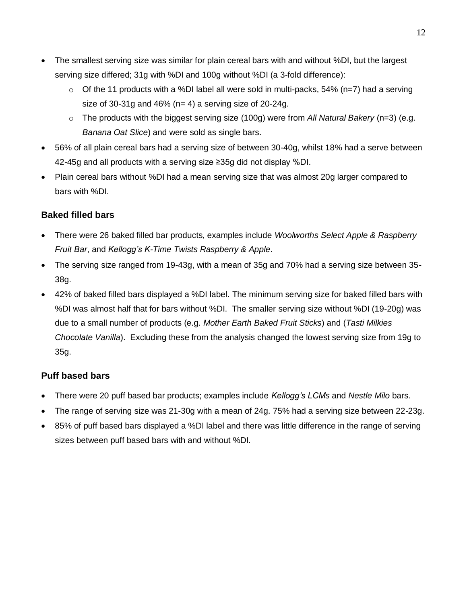- The smallest serving size was similar for plain cereal bars with and without %DI, but the largest serving size differed; 31g with %DI and 100g without %DI (a 3-fold difference):
	- $\circ$  Of the 11 products with a %DI label all were sold in multi-packs, 54% (n=7) had a serving size of 30-31g and 46% ( $n= 4$ ) a serving size of 20-24g.
	- o The products with the biggest serving size (100g) were from *All Natural Bakery* (n=3) (e.g. *Banana Oat Slice*) and were sold as single bars.
- 56% of all plain cereal bars had a serving size of between 30-40g, whilst 18% had a serve between 42-45g and all products with a serving size ≥35g did not display %DI.
- Plain cereal bars without %DI had a mean serving size that was almost 20g larger compared to bars with %DI.

## <span id="page-13-0"></span>**Baked filled bars**

- There were 26 baked filled bar products, examples include *Woolworths Select Apple & Raspberry Fruit Bar*, and *Kellogg's K-Time Twists Raspberry & Apple*.
- The serving size ranged from 19-43g, with a mean of 35g and 70% had a serving size between 35- 38g.
- 42% of baked filled bars displayed a %DI label. The minimum serving size for baked filled bars with %DI was almost half that for bars without %DI. The smaller serving size without %DI (19-20g) was due to a small number of products (e.g. *Mother Earth Baked Fruit Sticks*) and (*Tasti Milkies Chocolate Vanilla*). Excluding these from the analysis changed the lowest serving size from 19g to 35g.

## <span id="page-13-1"></span>**Puff based bars**

- There were 20 puff based bar products; examples include *Kellogg's LCMs* and *Nestle Milo* bars.
- The range of serving size was 21-30g with a mean of 24g. 75% had a serving size between 22-23g.
- 85% of puff based bars displayed a %DI label and there was little difference in the range of serving sizes between puff based bars with and without %DI.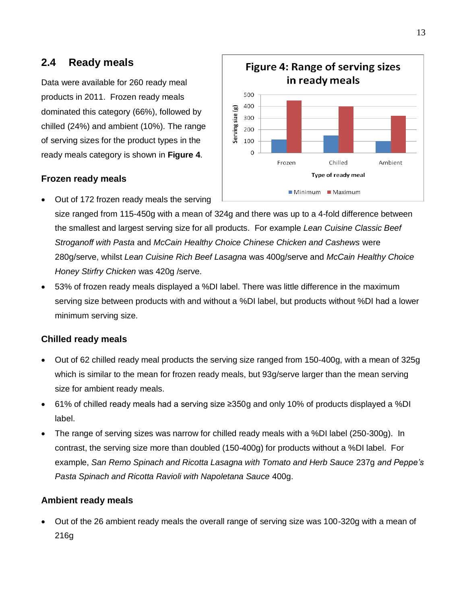## <span id="page-14-0"></span>**2.4 Ready meals**

Data were available for 260 ready meal products in 2011. Frozen ready meals dominated this category (66%), followed by chilled (24%) and ambient (10%). The range of serving sizes for the product types in the ready meals category is shown in **Figure 4**.

#### <span id="page-14-1"></span>**Frozen ready meals**

Out of 172 frozen ready meals the serving



size ranged from 115-450g with a mean of 324g and there was up to a 4-fold difference between the smallest and largest serving size for all products. For example *Lean Cuisine Classic Beef Stroganoff with Pasta* and *McCain Healthy Choice Chinese Chicken and Cashews* were 280g/serve, whilst *Lean Cuisine Rich Beef Lasagna* was 400g/serve and *McCain Healthy Choice Honey Stirfry Chicken* was 420g /serve.

 53% of frozen ready meals displayed a %DI label. There was little difference in the maximum serving size between products with and without a %DI label, but products without %DI had a lower minimum serving size.

## <span id="page-14-2"></span>**Chilled ready meals**

- Out of 62 chilled ready meal products the serving size ranged from 150-400g, with a mean of 325g which is similar to the mean for frozen ready meals, but 93g/serve larger than the mean serving size for ambient ready meals.
- 61% of chilled ready meals had a serving size ≥350g and only 10% of products displayed a %DI label.
- The range of serving sizes was narrow for chilled ready meals with a %DI label (250-300g). In contrast, the serving size more than doubled (150-400g) for products without a %DI label. For example, *San Remo Spinach and Ricotta Lasagna with Tomato and Herb Sauce* 237g *and Peppe's Pasta Spinach and Ricotta Ravioli with Napoletana Sauce* 400g.

## <span id="page-14-3"></span>**Ambient ready meals**

 Out of the 26 ambient ready meals the overall range of serving size was 100-320g with a mean of 216g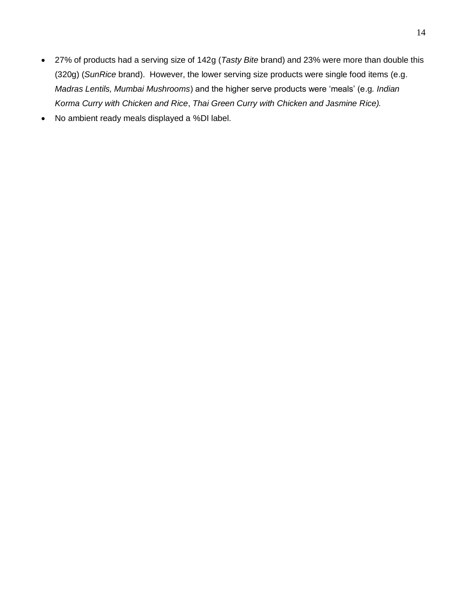- 27% of products had a serving size of 142g (*Tasty Bite* brand) and 23% were more than double this (320g) (*SunRice* brand). However, the lower serving size products were single food items (e.g. *Madras Lentils, Mumbai Mushrooms*) and the higher serve products were "meals" (e.g*. Indian Korma Curry with Chicken and Rice*, *Thai Green Curry with Chicken and Jasmine Rice).*
- No ambient ready meals displayed a %DI label.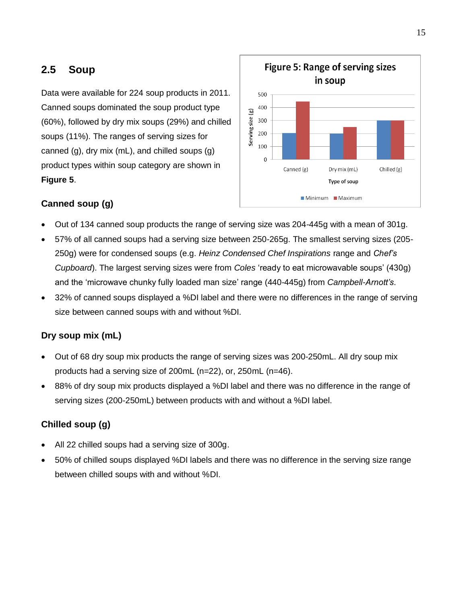# <span id="page-16-0"></span>**2.5 Soup**

Data were available for 224 soup products in 2011. Canned soups dominated the soup product type (60%), followed by dry mix soups (29%) and chilled soups (11%). The ranges of serving sizes for canned (g), dry mix (mL), and chilled soups (g) product types within soup category are shown in **Figure 5**.



## <span id="page-16-1"></span>**Canned soup (g)**

- Out of 134 canned soup products the range of serving size was 204-445g with a mean of 301g.
- 57% of all canned soups had a serving size between 250-265g. The smallest serving sizes (205- 250g) were for condensed soups (e.g. *Heinz Condensed Chef Inspirations* range and *Chef's Cupboard*). The largest serving sizes were from *Coles* "ready to eat microwavable soups" (430g) and the "microwave chunky fully loaded man size" range (440-445g) from *Campbell-Arnott's*.
- 32% of canned soups displayed a %DI label and there were no differences in the range of serving size between canned soups with and without %DI.

## <span id="page-16-2"></span>**Dry soup mix (mL)**

- Out of 68 dry soup mix products the range of serving sizes was 200-250mL. All dry soup mix products had a serving size of 200mL (n=22), or, 250mL (n=46).
- 88% of dry soup mix products displayed a %DI label and there was no difference in the range of serving sizes (200-250mL) between products with and without a %DI label.

## <span id="page-16-3"></span>**Chilled soup (g)**

- All 22 chilled soups had a serving size of 300g.
- 50% of chilled soups displayed %DI labels and there was no difference in the serving size range between chilled soups with and without %DI.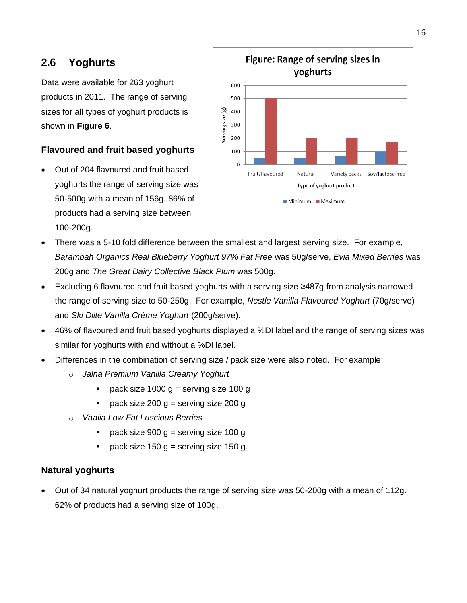# <span id="page-17-0"></span>**2.6 Yoghurts**

Data were available for 263 yoghurt products in 2011. The range of serving sizes for all types of yoghurt products is shown in **Figure 6**.

## <span id="page-17-1"></span>**Flavoured and fruit based yoghurts**

 Out of 204 flavoured and fruit based yoghurts the range of serving size was 50-500g with a mean of 156g. 86% of products had a serving size between 100-200g.



- There was a 5-10 fold difference between the smallest and largest serving size. For example, *Barambah Organics Real Blueberry Yoghurt 97% Fat Free* was 50g/serve, *Evia Mixed Berries* was 200g and *The Great Dairy Collective Black Plum* was 500g.
- Excluding 6 flavoured and fruit based yoghurts with a serving size ≥487g from analysis narrowed the range of serving size to 50-250g. For example, *Nestle Vanilla Flavoured Yoghurt* (70g/serve) and *Ski Dlite Vanilla Crème Yoghurt* (200g/serve).
- 46% of flavoured and fruit based yoghurts displayed a %DI label and the range of serving sizes was similar for yoghurts with and without a %DI label.
- Differences in the combination of serving size / pack size were also noted. For example:
	- o *Jalna Premium Vanilla Creamy Yoghurt*
		- pack size 1000  $g =$  serving size 100 g
		- pack size 200  $q =$  serving size 200  $q =$
	- o *Vaalia Low Fat Luscious Berries*
		- pack size  $900 g =$  serving size 100 g
		- pack size 150 g = serving size 150 g.

## <span id="page-17-2"></span>**Natural yoghurts**

 Out of 34 natural yoghurt products the range of serving size was 50-200g with a mean of 112g. 62% of products had a serving size of 100g.